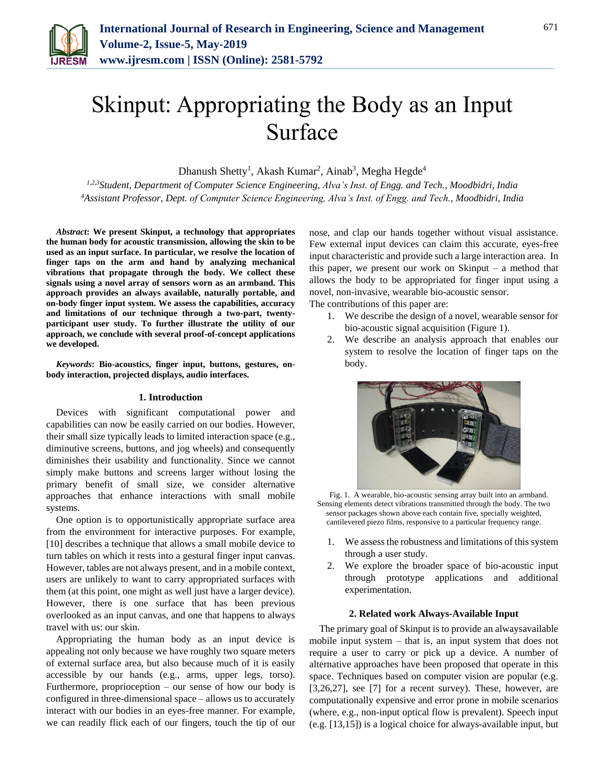

# Skinput: Appropriating the Body as an Input Surface

Dhanush Shetty<sup>1</sup>, Akash Kumar<sup>2</sup>, Ainab<sup>3</sup>, Megha Hegde<sup>4</sup>

*1,2,3Student, Department of Computer Science Engineering, Alva's Inst. of Engg. and Tech., Moodbidri, India <sup>4</sup>Assistant Professor, Dept. of Computer Science Engineering, Alva's Inst. of Engg. and Tech., Moodbidri, India*

*Abstract***: We present Skinput, a technology that appropriates the human body for acoustic transmission, allowing the skin to be used as an input surface. In particular, we resolve the location of finger taps on the arm and hand by analyzing mechanical vibrations that propagate through the body. We collect these signals using a novel array of sensors worn as an armband. This approach provides an always available, naturally portable, and on-body finger input system. We assess the capabilities, accuracy and limitations of our technique through a two-part, twentyparticipant user study. To further illustrate the utility of our approach, we conclude with several proof-of-concept applications we developed.** 

*Keywords***: Bio-acoustics, finger input, buttons, gestures, onbody interaction, projected displays, audio interfaces.** 

#### **1. Introduction**

Devices with significant computational power and capabilities can now be easily carried on our bodies. However, their small size typically leads to limited interaction space (e.g., diminutive screens, buttons, and jog wheels) and consequently diminishes their usability and functionality. Since we cannot simply make buttons and screens larger without losing the primary benefit of small size, we consider alternative approaches that enhance interactions with small mobile systems.

One option is to opportunistically appropriate surface area from the environment for interactive purposes. For example, [10] describes a technique that allows a small mobile device to turn tables on which it rests into a gestural finger input canvas. However, tables are not always present, and in a mobile context, users are unlikely to want to carry appropriated surfaces with them (at this point, one might as well just have a larger device). However, there is one surface that has been previous overlooked as an input canvas, and one that happens to always travel with us: our skin.

Appropriating the human body as an input device is appealing not only because we have roughly two square meters of external surface area, but also because much of it is easily accessible by our hands (e.g., arms, upper legs, torso). Furthermore, proprioception – our sense of how our body is configured in three-dimensional space – allows us to accurately interact with our bodies in an eyes-free manner. For example, we can readily flick each of our fingers, touch the tip of our nose, and clap our hands together without visual assistance. Few external input devices can claim this accurate, eyes-free input characteristic and provide such a large interaction area. In this paper, we present our work on Skinput – a method that allows the body to be appropriated for finger input using a novel, non-invasive, wearable bio-acoustic sensor. The contributions of this paper are:

1. We describe the design of a novel, wearable sensor for bio-acoustic signal acquisition (Figure 1).

2. We describe an analysis approach that enables our system to resolve the location of finger taps on the body.



Fig. 1. A wearable, bio-acoustic sensing array built into an armband. Sensing elements detect vibrations transmitted through the body. The two sensor packages shown above each contain five, specially weighted, cantilevered piezo films, responsive to a particular frequency range.

- 1. We assess the robustness and limitations of this system through a user study.
- 2. We explore the broader space of bio-acoustic input through prototype applications and additional experimentation.

## **2. Related work Always-Available Input**

The primary goal of Skinput is to provide an alwaysavailable mobile input system – that is, an input system that does not require a user to carry or pick up a device. A number of alternative approaches have been proposed that operate in this space. Techniques based on computer vision are popular (e.g. [3,26,27], see [7] for a recent survey). These, however, are computationally expensive and error prone in mobile scenarios (where, e.g., non-input optical flow is prevalent). Speech input (e.g. [13,15]) is a logical choice for always-available input, but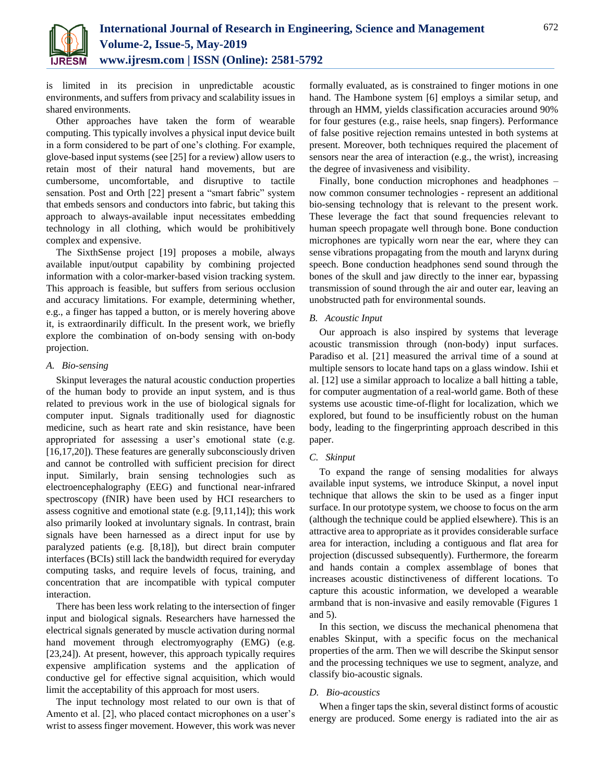

is limited in its precision in unpredictable acoustic environments, and suffers from privacy and scalability issues in shared environments.

Other approaches have taken the form of wearable computing. This typically involves a physical input device built in a form considered to be part of one's clothing. For example, glove-based input systems (see [25] for a review) allow users to retain most of their natural hand movements, but are cumbersome, uncomfortable, and disruptive to tactile sensation. Post and Orth [22] present a "smart fabric" system that embeds sensors and conductors into fabric, but taking this approach to always-available input necessitates embedding technology in all clothing, which would be prohibitively complex and expensive.

The SixthSense project [19] proposes a mobile, always available input/output capability by combining projected information with a color-marker-based vision tracking system. This approach is feasible, but suffers from serious occlusion and accuracy limitations. For example, determining whether, e.g., a finger has tapped a button, or is merely hovering above it, is extraordinarily difficult. In the present work, we briefly explore the combination of on-body sensing with on-body projection.

## *A. Bio-sensing*

Skinput leverages the natural acoustic conduction properties of the human body to provide an input system, and is thus related to previous work in the use of biological signals for computer input. Signals traditionally used for diagnostic medicine, such as heart rate and skin resistance, have been appropriated for assessing a user's emotional state (e.g. [16,17,20]). These features are generally subconsciously driven and cannot be controlled with sufficient precision for direct input. Similarly, brain sensing technologies such as electroencephalography (EEG) and functional near-infrared spectroscopy (fNIR) have been used by HCI researchers to assess cognitive and emotional state (e.g. [9,11,14]); this work also primarily looked at involuntary signals. In contrast, brain signals have been harnessed as a direct input for use by paralyzed patients (e.g. [8,18]), but direct brain computer interfaces (BCIs) still lack the bandwidth required for everyday computing tasks, and require levels of focus, training, and concentration that are incompatible with typical computer interaction.

There has been less work relating to the intersection of finger input and biological signals. Researchers have harnessed the electrical signals generated by muscle activation during normal hand movement through electromyography (EMG) (e.g. [23,24]). At present, however, this approach typically requires expensive amplification systems and the application of conductive gel for effective signal acquisition, which would limit the acceptability of this approach for most users.

The input technology most related to our own is that of Amento et al. [2], who placed contact microphones on a user's wrist to assess finger movement. However, this work was never

formally evaluated, as is constrained to finger motions in one hand. The Hambone system [6] employs a similar setup, and through an HMM, yields classification accuracies around 90% for four gestures (e.g., raise heels, snap fingers). Performance of false positive rejection remains untested in both systems at present. Moreover, both techniques required the placement of sensors near the area of interaction (e.g., the wrist), increasing the degree of invasiveness and visibility.

Finally, bone conduction microphones and headphones – now common consumer technologies - represent an additional bio-sensing technology that is relevant to the present work. These leverage the fact that sound frequencies relevant to human speech propagate well through bone. Bone conduction microphones are typically worn near the ear, where they can sense vibrations propagating from the mouth and larynx during speech. Bone conduction headphones send sound through the bones of the skull and jaw directly to the inner ear, bypassing transmission of sound through the air and outer ear, leaving an unobstructed path for environmental sounds.

# *B. Acoustic Input*

Our approach is also inspired by systems that leverage acoustic transmission through (non-body) input surfaces. Paradiso et al. [21] measured the arrival time of a sound at multiple sensors to locate hand taps on a glass window. Ishii et al. [12] use a similar approach to localize a ball hitting a table, for computer augmentation of a real-world game. Both of these systems use acoustic time-of-flight for localization, which we explored, but found to be insufficiently robust on the human body, leading to the fingerprinting approach described in this paper.

# *C. Skinput*

To expand the range of sensing modalities for always available input systems, we introduce Skinput, a novel input technique that allows the skin to be used as a finger input surface. In our prototype system, we choose to focus on the arm (although the technique could be applied elsewhere). This is an attractive area to appropriate as it provides considerable surface area for interaction, including a contiguous and flat area for projection (discussed subsequently). Furthermore, the forearm and hands contain a complex assemblage of bones that increases acoustic distinctiveness of different locations. To capture this acoustic information, we developed a wearable armband that is non-invasive and easily removable (Figures 1 and 5).

In this section, we discuss the mechanical phenomena that enables Skinput, with a specific focus on the mechanical properties of the arm. Then we will describe the Skinput sensor and the processing techniques we use to segment, analyze, and classify bio-acoustic signals.

# *D. Bio-acoustics*

When a finger taps the skin, several distinct forms of acoustic energy are produced. Some energy is radiated into the air as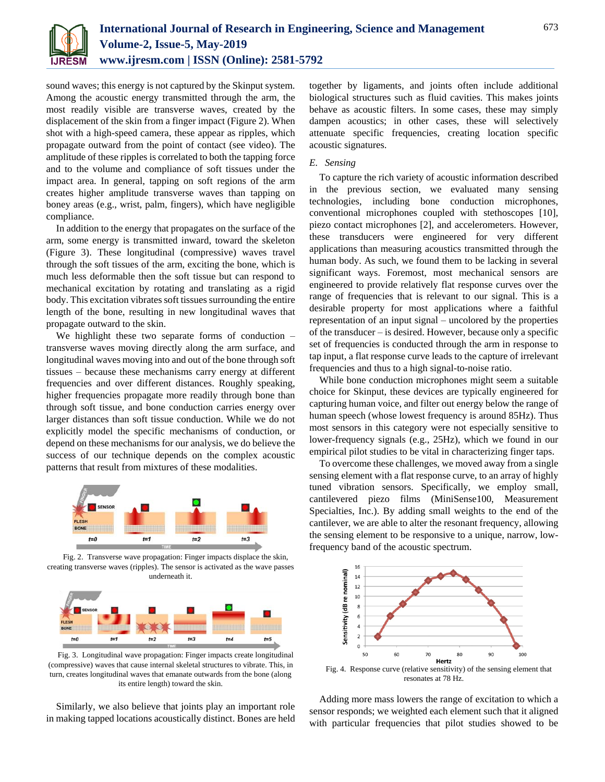

sound waves; this energy is not captured by the Skinput system. Among the acoustic energy transmitted through the arm, the most readily visible are transverse waves, created by the displacement of the skin from a finger impact (Figure 2). When shot with a high-speed camera, these appear as ripples, which propagate outward from the point of contact (see video). The amplitude of these ripples is correlated to both the tapping force and to the volume and compliance of soft tissues under the impact area. In general, tapping on soft regions of the arm creates higher amplitude transverse waves than tapping on boney areas (e.g., wrist, palm, fingers), which have negligible compliance.

In addition to the energy that propagates on the surface of the arm, some energy is transmitted inward, toward the skeleton (Figure 3). These longitudinal (compressive) waves travel through the soft tissues of the arm, exciting the bone, which is much less deformable then the soft tissue but can respond to mechanical excitation by rotating and translating as a rigid body. This excitation vibrates soft tissues surrounding the entire length of the bone, resulting in new longitudinal waves that propagate outward to the skin.

We highlight these two separate forms of conduction – transverse waves moving directly along the arm surface, and longitudinal waves moving into and out of the bone through soft tissues – because these mechanisms carry energy at different frequencies and over different distances. Roughly speaking, higher frequencies propagate more readily through bone than through soft tissue, and bone conduction carries energy over larger distances than soft tissue conduction. While we do not explicitly model the specific mechanisms of conduction, or depend on these mechanisms for our analysis, we do believe the success of our technique depends on the complex acoustic patterns that result from mixtures of these modalities.



Fig. 2. Transverse wave propagation: Finger impacts displace the skin, creating transverse waves (ripples). The sensor is activated as the wave passes underneath it.



Fig. 3. Longitudinal wave propagation: Finger impacts create longitudinal (compressive) waves that cause internal skeletal structures to vibrate. This, in turn, creates longitudinal waves that emanate outwards from the bone (along its entire length) toward the skin.

Similarly, we also believe that joints play an important role in making tapped locations acoustically distinct. Bones are held

together by ligaments, and joints often include additional biological structures such as fluid cavities. This makes joints behave as acoustic filters. In some cases, these may simply dampen acoustics; in other cases, these will selectively attenuate specific frequencies, creating location specific acoustic signatures.

#### *E. Sensing*

To capture the rich variety of acoustic information described in the previous section, we evaluated many sensing technologies, including bone conduction microphones, conventional microphones coupled with stethoscopes [10], piezo contact microphones [2], and accelerometers. However, these transducers were engineered for very different applications than measuring acoustics transmitted through the human body. As such, we found them to be lacking in several significant ways. Foremost, most mechanical sensors are engineered to provide relatively flat response curves over the range of frequencies that is relevant to our signal. This is a desirable property for most applications where a faithful representation of an input signal – uncolored by the properties of the transducer – is desired. However, because only a specific set of frequencies is conducted through the arm in response to tap input, a flat response curve leads to the capture of irrelevant frequencies and thus to a high signal-to-noise ratio.

While bone conduction microphones might seem a suitable choice for Skinput, these devices are typically engineered for capturing human voice, and filter out energy below the range of human speech (whose lowest frequency is around 85Hz). Thus most sensors in this category were not especially sensitive to lower-frequency signals (e.g., 25Hz), which we found in our empirical pilot studies to be vital in characterizing finger taps.

To overcome these challenges, we moved away from a single sensing element with a flat response curve, to an array of highly tuned vibration sensors. Specifically, we employ small, cantilevered piezo films (MiniSense100, Measurement Specialties, Inc.). By adding small weights to the end of the cantilever, we are able to alter the resonant frequency, allowing the sensing element to be responsive to a unique, narrow, lowfrequency band of the acoustic spectrum.



resonates at 78 Hz.

Adding more mass lowers the range of excitation to which a sensor responds; we weighted each element such that it aligned with particular frequencies that pilot studies showed to be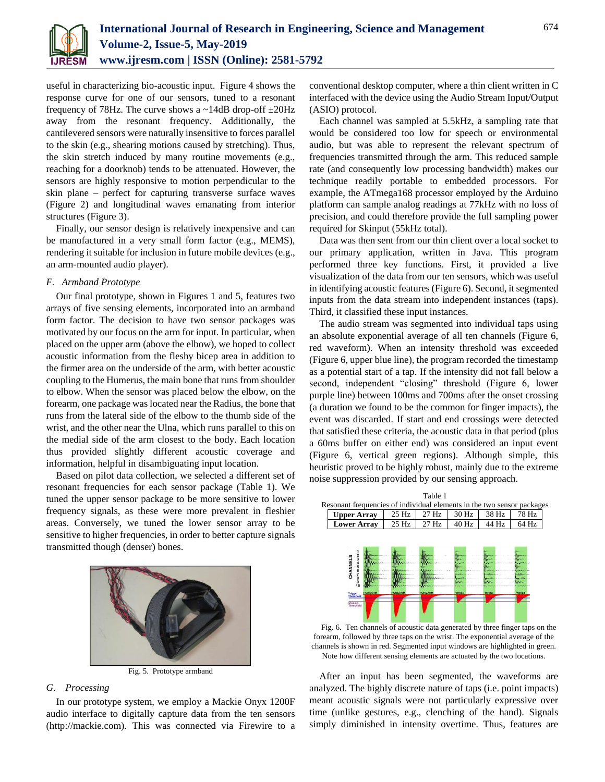

useful in characterizing bio-acoustic input. Figure 4 shows the response curve for one of our sensors, tuned to a resonant frequency of 78Hz. The curve shows a  $\sim$ 14dB drop-off  $\pm$ 20Hz away from the resonant frequency. Additionally, the cantilevered sensors were naturally insensitive to forces parallel to the skin (e.g., shearing motions caused by stretching). Thus, the skin stretch induced by many routine movements (e.g., reaching for a doorknob) tends to be attenuated. However, the sensors are highly responsive to motion perpendicular to the skin plane – perfect for capturing transverse surface waves (Figure 2) and longitudinal waves emanating from interior structures (Figure 3).

Finally, our sensor design is relatively inexpensive and can be manufactured in a very small form factor (e.g., MEMS), rendering it suitable for inclusion in future mobile devices (e.g., an arm-mounted audio player).

## *F. Armband Prototype*

Our final prototype, shown in Figures 1 and 5, features two arrays of five sensing elements, incorporated into an armband form factor. The decision to have two sensor packages was motivated by our focus on the arm for input. In particular, when placed on the upper arm (above the elbow), we hoped to collect acoustic information from the fleshy bicep area in addition to the firmer area on the underside of the arm, with better acoustic coupling to the Humerus, the main bone that runs from shoulder to elbow. When the sensor was placed below the elbow, on the forearm, one package was located near the Radius, the bone that runs from the lateral side of the elbow to the thumb side of the wrist, and the other near the Ulna, which runs parallel to this on the medial side of the arm closest to the body. Each location thus provided slightly different acoustic coverage and information, helpful in disambiguating input location.

Based on pilot data collection, we selected a different set of resonant frequencies for each sensor package (Table 1). We tuned the upper sensor package to be more sensitive to lower frequency signals, as these were more prevalent in fleshier areas. Conversely, we tuned the lower sensor array to be sensitive to higher frequencies, in order to better capture signals transmitted though (denser) bones.



Fig. 5. Prototype armband

### *G. Processing*

In our prototype system, we employ a Mackie Onyx 1200F audio interface to digitally capture data from the ten sensors (http://mackie.com). This was connected via Firewire to a conventional desktop computer, where a thin client written in C interfaced with the device using the Audio Stream Input/Output (ASIO) protocol.

Each channel was sampled at 5.5kHz, a sampling rate that would be considered too low for speech or environmental audio, but was able to represent the relevant spectrum of frequencies transmitted through the arm. This reduced sample rate (and consequently low processing bandwidth) makes our technique readily portable to embedded processors. For example, the ATmega168 processor employed by the Arduino platform can sample analog readings at 77kHz with no loss of precision, and could therefore provide the full sampling power required for Skinput (55kHz total).

Data was then sent from our thin client over a local socket to our primary application, written in Java. This program performed three key functions. First, it provided a live visualization of the data from our ten sensors, which was useful in identifying acoustic features (Figure 6). Second, it segmented inputs from the data stream into independent instances (taps). Third, it classified these input instances.

The audio stream was segmented into individual taps using an absolute exponential average of all ten channels (Figure 6, red waveform). When an intensity threshold was exceeded (Figure 6, upper blue line), the program recorded the timestamp as a potential start of a tap. If the intensity did not fall below a second, independent "closing" threshold (Figure 6, lower purple line) between 100ms and 700ms after the onset crossing (a duration we found to be the common for finger impacts), the event was discarded. If start and end crossings were detected that satisfied these criteria, the acoustic data in that period (plus a 60ms buffer on either end) was considered an input event (Figure 6, vertical green regions). Although simple, this heuristic proved to be highly robust, mainly due to the extreme noise suppression provided by our sensing approach.



Fig. 6. Ten channels of acoustic data generated by three finger taps on the forearm, followed by three taps on the wrist. The exponential average of the channels is shown in red. Segmented input windows are highlighted in green. Note how different sensing elements are actuated by the two locations.

After an input has been segmented, the waveforms are analyzed. The highly discrete nature of taps (i.e. point impacts) meant acoustic signals were not particularly expressive over time (unlike gestures, e.g., clenching of the hand). Signals simply diminished in intensity overtime. Thus, features are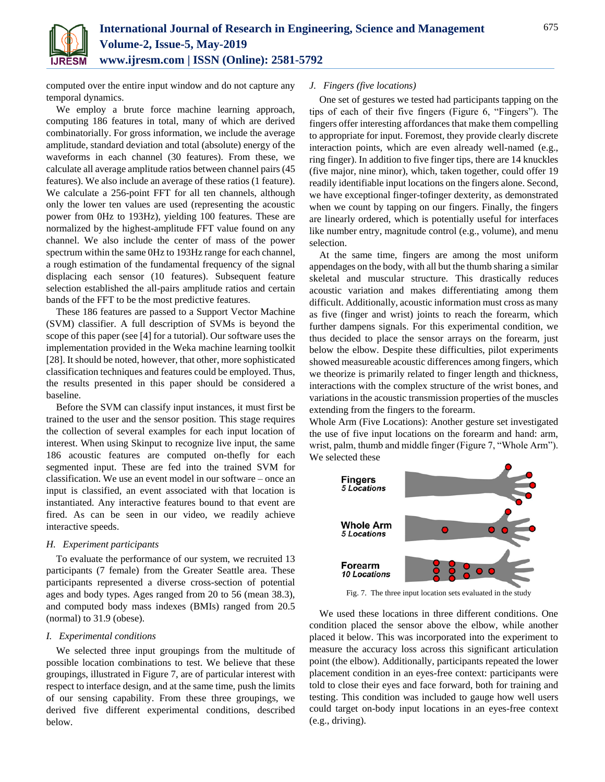

computed over the entire input window and do not capture any temporal dynamics.

We employ a brute force machine learning approach, computing 186 features in total, many of which are derived combinatorially. For gross information, we include the average amplitude, standard deviation and total (absolute) energy of the waveforms in each channel (30 features). From these, we calculate all average amplitude ratios between channel pairs (45 features). We also include an average of these ratios (1 feature). We calculate a 256-point FFT for all ten channels, although only the lower ten values are used (representing the acoustic power from 0Hz to 193Hz), yielding 100 features. These are normalized by the highest-amplitude FFT value found on any channel. We also include the center of mass of the power spectrum within the same 0Hz to 193Hz range for each channel, a rough estimation of the fundamental frequency of the signal displacing each sensor (10 features). Subsequent feature selection established the all-pairs amplitude ratios and certain bands of the FFT to be the most predictive features.

These 186 features are passed to a Support Vector Machine (SVM) classifier. A full description of SVMs is beyond the scope of this paper (see [4] for a tutorial). Our software uses the implementation provided in the Weka machine learning toolkit [28]. It should be noted, however, that other, more sophisticated classification techniques and features could be employed. Thus, the results presented in this paper should be considered a baseline.

Before the SVM can classify input instances, it must first be trained to the user and the sensor position. This stage requires the collection of several examples for each input location of interest. When using Skinput to recognize live input, the same 186 acoustic features are computed on-thefly for each segmented input. These are fed into the trained SVM for classification. We use an event model in our software – once an input is classified, an event associated with that location is instantiated. Any interactive features bound to that event are fired. As can be seen in our video, we readily achieve interactive speeds.

## *H. Experiment participants*

To evaluate the performance of our system, we recruited 13 participants (7 female) from the Greater Seattle area. These participants represented a diverse cross-section of potential ages and body types. Ages ranged from 20 to 56 (mean 38.3), and computed body mass indexes (BMIs) ranged from 20.5 (normal) to 31.9 (obese).

### *I. Experimental conditions*

We selected three input groupings from the multitude of possible location combinations to test. We believe that these groupings, illustrated in Figure 7, are of particular interest with respect to interface design, and at the same time, push the limits of our sensing capability. From these three groupings, we derived five different experimental conditions, described below.

# *J. Fingers (five locations)*

One set of gestures we tested had participants tapping on the tips of each of their five fingers (Figure 6, "Fingers"). The fingers offer interesting affordances that make them compelling to appropriate for input. Foremost, they provide clearly discrete interaction points, which are even already well-named (e.g., ring finger). In addition to five finger tips, there are 14 knuckles (five major, nine minor), which, taken together, could offer 19 readily identifiable input locations on the fingers alone. Second, we have exceptional finger-tofinger dexterity, as demonstrated when we count by tapping on our fingers. Finally, the fingers are linearly ordered, which is potentially useful for interfaces like number entry, magnitude control (e.g., volume), and menu selection.

At the same time, fingers are among the most uniform appendages on the body, with all but the thumb sharing a similar skeletal and muscular structure. This drastically reduces acoustic variation and makes differentiating among them difficult. Additionally, acoustic information must cross as many as five (finger and wrist) joints to reach the forearm, which further dampens signals. For this experimental condition, we thus decided to place the sensor arrays on the forearm, just below the elbow. Despite these difficulties, pilot experiments showed measureable acoustic differences among fingers, which we theorize is primarily related to finger length and thickness, interactions with the complex structure of the wrist bones, and variations in the acoustic transmission properties of the muscles extending from the fingers to the forearm.

Whole Arm (Five Locations): Another gesture set investigated the use of five input locations on the forearm and hand: arm, wrist, palm, thumb and middle finger (Figure 7, "Whole Arm"). We selected these



Fig. 7. The three input location sets evaluated in the study

We used these locations in three different conditions. One condition placed the sensor above the elbow, while another placed it below. This was incorporated into the experiment to measure the accuracy loss across this significant articulation point (the elbow). Additionally, participants repeated the lower placement condition in an eyes-free context: participants were told to close their eyes and face forward, both for training and testing. This condition was included to gauge how well users could target on-body input locations in an eyes-free context (e.g., driving).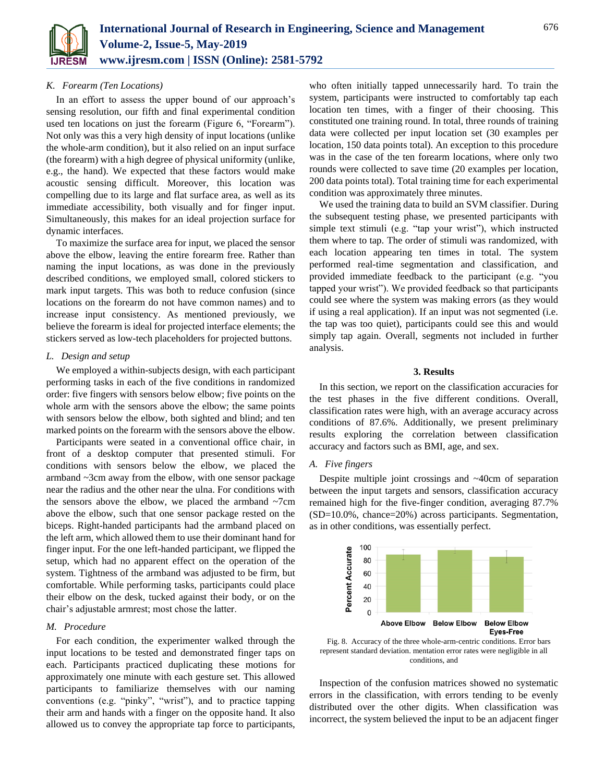

## *K. Forearm (Ten Locations)*

In an effort to assess the upper bound of our approach's sensing resolution, our fifth and final experimental condition used ten locations on just the forearm (Figure 6, "Forearm"). Not only was this a very high density of input locations (unlike the whole-arm condition), but it also relied on an input surface (the forearm) with a high degree of physical uniformity (unlike, e.g., the hand). We expected that these factors would make acoustic sensing difficult. Moreover, this location was compelling due to its large and flat surface area, as well as its immediate accessibility, both visually and for finger input. Simultaneously, this makes for an ideal projection surface for dynamic interfaces.

To maximize the surface area for input, we placed the sensor above the elbow, leaving the entire forearm free. Rather than naming the input locations, as was done in the previously described conditions, we employed small, colored stickers to mark input targets. This was both to reduce confusion (since locations on the forearm do not have common names) and to increase input consistency. As mentioned previously, we believe the forearm is ideal for projected interface elements; the stickers served as low-tech placeholders for projected buttons.

## *L. Design and setup*

We employed a within-subjects design, with each participant performing tasks in each of the five conditions in randomized order: five fingers with sensors below elbow; five points on the whole arm with the sensors above the elbow; the same points with sensors below the elbow, both sighted and blind; and ten marked points on the forearm with the sensors above the elbow.

Participants were seated in a conventional office chair, in front of a desktop computer that presented stimuli. For conditions with sensors below the elbow, we placed the armband ~3cm away from the elbow, with one sensor package near the radius and the other near the ulna. For conditions with the sensors above the elbow, we placed the armband  $\sim$ 7cm above the elbow, such that one sensor package rested on the biceps. Right-handed participants had the armband placed on the left arm, which allowed them to use their dominant hand for finger input. For the one left-handed participant, we flipped the setup, which had no apparent effect on the operation of the system. Tightness of the armband was adjusted to be firm, but comfortable. While performing tasks, participants could place their elbow on the desk, tucked against their body, or on the chair's adjustable armrest; most chose the latter.

#### *M. Procedure*

For each condition, the experimenter walked through the input locations to be tested and demonstrated finger taps on each. Participants practiced duplicating these motions for approximately one minute with each gesture set. This allowed participants to familiarize themselves with our naming conventions (e.g. "pinky", "wrist"), and to practice tapping their arm and hands with a finger on the opposite hand. It also allowed us to convey the appropriate tap force to participants,

who often initially tapped unnecessarily hard. To train the system, participants were instructed to comfortably tap each location ten times, with a finger of their choosing. This constituted one training round. In total, three rounds of training data were collected per input location set (30 examples per location, 150 data points total). An exception to this procedure was in the case of the ten forearm locations, where only two rounds were collected to save time (20 examples per location, 200 data points total). Total training time for each experimental condition was approximately three minutes.

We used the training data to build an SVM classifier. During the subsequent testing phase, we presented participants with simple text stimuli (e.g. "tap your wrist"), which instructed them where to tap. The order of stimuli was randomized, with each location appearing ten times in total. The system performed real-time segmentation and classification, and provided immediate feedback to the participant (e.g. "you tapped your wrist"). We provided feedback so that participants could see where the system was making errors (as they would if using a real application). If an input was not segmented (i.e. the tap was too quiet), participants could see this and would simply tap again. Overall, segments not included in further analysis.

#### **3. Results**

In this section, we report on the classification accuracies for the test phases in the five different conditions. Overall, classification rates were high, with an average accuracy across conditions of 87.6%. Additionally, we present preliminary results exploring the correlation between classification accuracy and factors such as BMI, age, and sex.

#### *A. Five fingers*

Despite multiple joint crossings and ~40cm of separation between the input targets and sensors, classification accuracy remained high for the five-finger condition, averaging 87.7% (SD=10.0%, chance=20%) across participants. Segmentation, as in other conditions, was essentially perfect.



Fig. 8. Accuracy of the three whole-arm-centric conditions. Error bars represent standard deviation. mentation error rates were negligible in all conditions, and

Inspection of the confusion matrices showed no systematic errors in the classification, with errors tending to be evenly distributed over the other digits. When classification was incorrect, the system believed the input to be an adjacent finger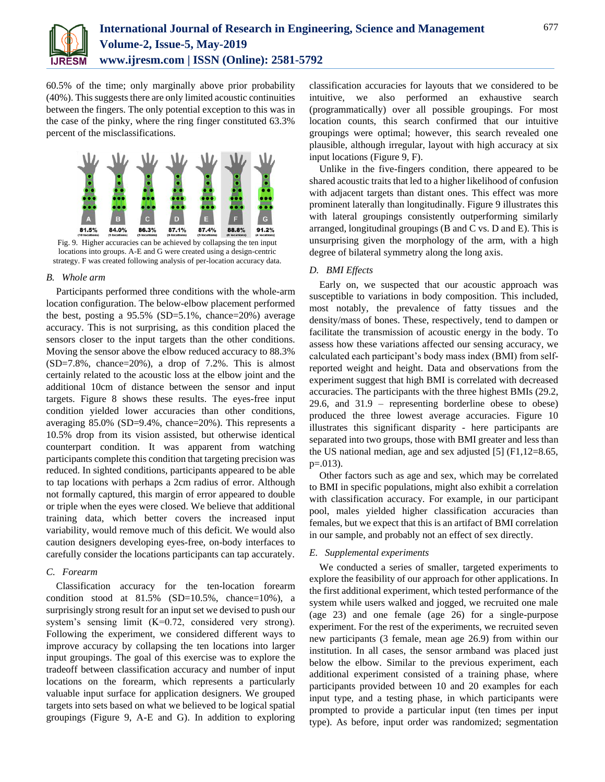

60.5% of the time; only marginally above prior probability (40%). This suggests there are only limited acoustic continuities between the fingers. The only potential exception to this was in the case of the pinky, where the ring finger constituted 63.3% percent of the misclassifications.



Fig. 9. Higher accuracies can be achieved by collapsing the ten input locations into groups. A-E and G were created using a design-centric strategy. F was created following analysis of per-location accuracy data.

### *B. Whole arm*

Participants performed three conditions with the whole-arm location configuration. The below-elbow placement performed the best, posting a  $95.5\%$  (SD=5.1%, chance=20%) average accuracy. This is not surprising, as this condition placed the sensors closer to the input targets than the other conditions. Moving the sensor above the elbow reduced accuracy to 88.3%  $(SD=7.8\%$ , chance=20%), a drop of 7.2%. This is almost certainly related to the acoustic loss at the elbow joint and the additional 10cm of distance between the sensor and input targets. Figure 8 shows these results. The eyes-free input condition yielded lower accuracies than other conditions, averaging 85.0% (SD=9.4%, chance=20%). This represents a 10.5% drop from its vision assisted, but otherwise identical counterpart condition. It was apparent from watching participants complete this condition that targeting precision was reduced. In sighted conditions, participants appeared to be able to tap locations with perhaps a 2cm radius of error. Although not formally captured, this margin of error appeared to double or triple when the eyes were closed. We believe that additional training data, which better covers the increased input variability, would remove much of this deficit. We would also caution designers developing eyes-free, on-body interfaces to carefully consider the locations participants can tap accurately.

# *C. Forearm*

Classification accuracy for the ten-location forearm condition stood at  $81.5\%$  (SD=10.5%, chance=10%), a surprisingly strong result for an input set we devised to push our system's sensing limit (K=0.72, considered very strong). Following the experiment, we considered different ways to improve accuracy by collapsing the ten locations into larger input groupings. The goal of this exercise was to explore the tradeoff between classification accuracy and number of input locations on the forearm, which represents a particularly valuable input surface for application designers. We grouped targets into sets based on what we believed to be logical spatial groupings (Figure 9, A-E and G). In addition to exploring

classification accuracies for layouts that we considered to be intuitive, we also performed an exhaustive search (programmatically) over all possible groupings. For most location counts, this search confirmed that our intuitive groupings were optimal; however, this search revealed one plausible, although irregular, layout with high accuracy at six input locations (Figure 9, F).

Unlike in the five-fingers condition, there appeared to be shared acoustic traits that led to a higher likelihood of confusion with adjacent targets than distant ones. This effect was more prominent laterally than longitudinally. Figure 9 illustrates this with lateral groupings consistently outperforming similarly arranged, longitudinal groupings (B and C vs. D and E). This is unsurprising given the morphology of the arm, with a high degree of bilateral symmetry along the long axis.

## *D. BMI Effects*

Early on, we suspected that our acoustic approach was susceptible to variations in body composition. This included, most notably, the prevalence of fatty tissues and the density/mass of bones. These, respectively, tend to dampen or facilitate the transmission of acoustic energy in the body. To assess how these variations affected our sensing accuracy, we calculated each participant's body mass index (BMI) from selfreported weight and height. Data and observations from the experiment suggest that high BMI is correlated with decreased accuracies. The participants with the three highest BMIs (29.2, 29.6, and 31.9 – representing borderline obese to obese) produced the three lowest average accuracies. Figure 10 illustrates this significant disparity - here participants are separated into two groups, those with BMI greater and less than the US national median, age and sex adjusted [5] (F1,12=8.65,  $p=.013$ ).

Other factors such as age and sex, which may be correlated to BMI in specific populations, might also exhibit a correlation with classification accuracy. For example, in our participant pool, males yielded higher classification accuracies than females, but we expect that this is an artifact of BMI correlation in our sample, and probably not an effect of sex directly.

### *E. Supplemental experiments*

We conducted a series of smaller, targeted experiments to explore the feasibility of our approach for other applications. In the first additional experiment, which tested performance of the system while users walked and jogged, we recruited one male (age 23) and one female (age 26) for a single-purpose experiment. For the rest of the experiments, we recruited seven new participants (3 female, mean age 26.9) from within our institution. In all cases, the sensor armband was placed just below the elbow. Similar to the previous experiment, each additional experiment consisted of a training phase, where participants provided between 10 and 20 examples for each input type, and a testing phase, in which participants were prompted to provide a particular input (ten times per input type). As before, input order was randomized; segmentation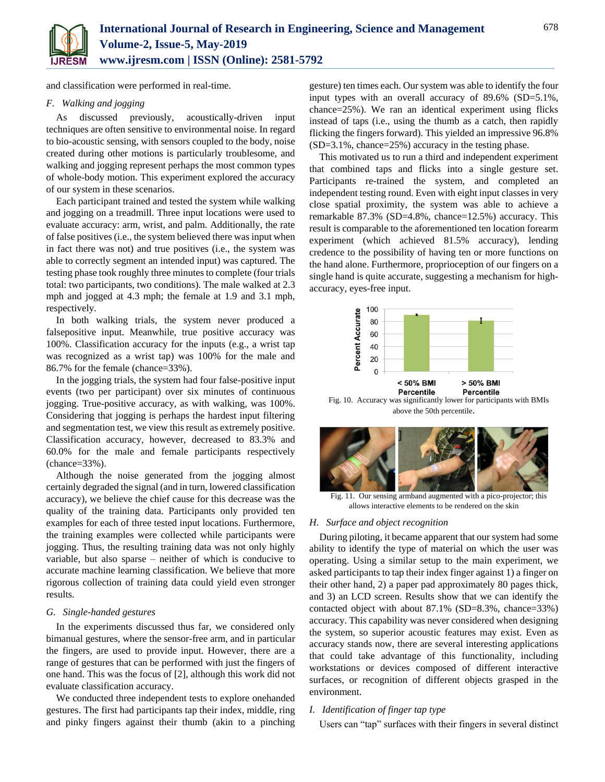

and classification were performed in real-time.

## *F. Walking and jogging*

As discussed previously, acoustically-driven input techniques are often sensitive to environmental noise. In regard to bio-acoustic sensing, with sensors coupled to the body, noise created during other motions is particularly troublesome, and walking and jogging represent perhaps the most common types of whole-body motion. This experiment explored the accuracy of our system in these scenarios.

Each participant trained and tested the system while walking and jogging on a treadmill. Three input locations were used to evaluate accuracy: arm, wrist, and palm. Additionally, the rate of false positives (i.e., the system believed there was input when in fact there was not) and true positives (i.e., the system was able to correctly segment an intended input) was captured. The testing phase took roughly three minutes to complete (four trials total: two participants, two conditions). The male walked at 2.3 mph and jogged at 4.3 mph; the female at 1.9 and 3.1 mph, respectively.

In both walking trials, the system never produced a falsepositive input. Meanwhile, true positive accuracy was 100%. Classification accuracy for the inputs (e.g., a wrist tap was recognized as a wrist tap) was 100% for the male and 86.7% for the female (chance=33%).

In the jogging trials, the system had four false-positive input events (two per participant) over six minutes of continuous jogging. True-positive accuracy, as with walking, was 100%. Considering that jogging is perhaps the hardest input filtering and segmentation test, we view this result as extremely positive. Classification accuracy, however, decreased to 83.3% and 60.0% for the male and female participants respectively (chance=33%).

Although the noise generated from the jogging almost certainly degraded the signal (and in turn, lowered classification accuracy), we believe the chief cause for this decrease was the quality of the training data. Participants only provided ten examples for each of three tested input locations. Furthermore, the training examples were collected while participants were jogging. Thus, the resulting training data was not only highly variable, but also sparse – neither of which is conducive to accurate machine learning classification. We believe that more rigorous collection of training data could yield even stronger results.

## *G. Single-handed gestures*

In the experiments discussed thus far, we considered only bimanual gestures, where the sensor-free arm, and in particular the fingers, are used to provide input. However, there are a range of gestures that can be performed with just the fingers of one hand. This was the focus of [2], although this work did not evaluate classification accuracy.

We conducted three independent tests to explore onehanded gestures. The first had participants tap their index, middle, ring and pinky fingers against their thumb (akin to a pinching gesture) ten times each. Our system was able to identify the four input types with an overall accuracy of 89.6% (SD=5.1%, chance=25%). We ran an identical experiment using flicks instead of taps (i.e., using the thumb as a catch, then rapidly flicking the fingers forward). This yielded an impressive 96.8% (SD=3.1%, chance=25%) accuracy in the testing phase.

This motivated us to run a third and independent experiment that combined taps and flicks into a single gesture set. Participants re-trained the system, and completed an independent testing round. Even with eight input classes in very close spatial proximity, the system was able to achieve a remarkable 87.3% (SD=4.8%, chance=12.5%) accuracy. This result is comparable to the aforementioned ten location forearm experiment (which achieved 81.5% accuracy), lending credence to the possibility of having ten or more functions on the hand alone. Furthermore, proprioception of our fingers on a single hand is quite accurate, suggesting a mechanism for highaccuracy, eyes-free input.



Percentile Percentile Fig. 10. Accuracy was significantly lower for participants with BMIs above the 50th percentile.



Fig. 11. Our sensing armband augmented with a pico-projector; this allows interactive elements to be rendered on the skin

## *H. Surface and object recognition*

During piloting, it became apparent that our system had some ability to identify the type of material on which the user was operating. Using a similar setup to the main experiment, we asked participants to tap their index finger against 1) a finger on their other hand, 2) a paper pad approximately 80 pages thick, and 3) an LCD screen. Results show that we can identify the contacted object with about 87.1% (SD=8.3%, chance=33%) accuracy. This capability was never considered when designing the system, so superior acoustic features may exist. Even as accuracy stands now, there are several interesting applications that could take advantage of this functionality, including workstations or devices composed of different interactive surfaces, or recognition of different objects grasped in the environment.

## *I. Identification of finger tap type*

Users can "tap" surfaces with their fingers in several distinct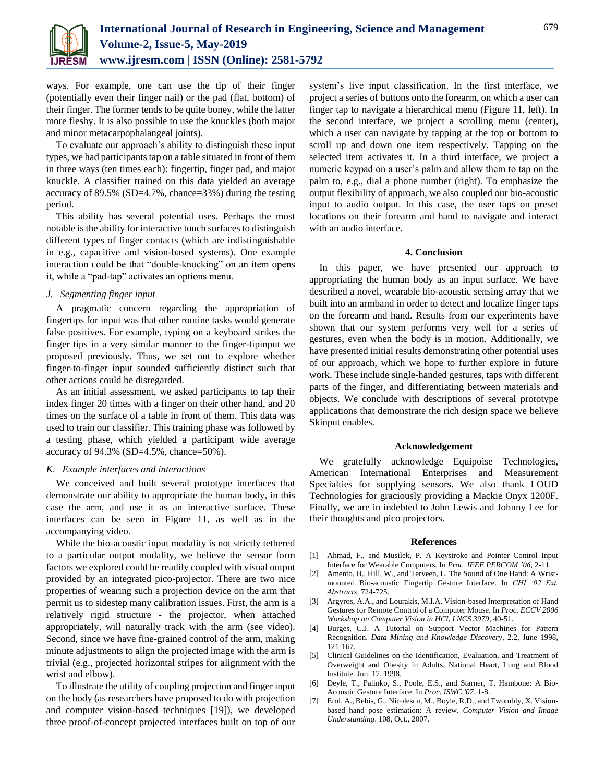

ways. For example, one can use the tip of their finger (potentially even their finger nail) or the pad (flat, bottom) of their finger. The former tends to be quite boney, while the latter more fleshy. It is also possible to use the knuckles (both major and minor metacarpophalangeal joints).

To evaluate our approach's ability to distinguish these input types, we had participants tap on a table situated in front of them in three ways (ten times each): fingertip, finger pad, and major knuckle. A classifier trained on this data yielded an average accuracy of 89.5% (SD=4.7%, chance=33%) during the testing period.

This ability has several potential uses. Perhaps the most notable is the ability for interactive touch surfaces to distinguish different types of finger contacts (which are indistinguishable in e.g., capacitive and vision-based systems). One example interaction could be that "double-knocking" on an item opens it, while a "pad-tap" activates an options menu.

## *J. Segmenting finger input*

A pragmatic concern regarding the appropriation of fingertips for input was that other routine tasks would generate false positives. For example, typing on a keyboard strikes the finger tips in a very similar manner to the finger-tipinput we proposed previously. Thus, we set out to explore whether finger-to-finger input sounded sufficiently distinct such that other actions could be disregarded.

As an initial assessment, we asked participants to tap their index finger 20 times with a finger on their other hand, and 20 times on the surface of a table in front of them. This data was used to train our classifier. This training phase was followed by a testing phase, which yielded a participant wide average accuracy of 94.3% (SD=4.5%, chance=50%).

### *K. Example interfaces and interactions*

We conceived and built several prototype interfaces that demonstrate our ability to appropriate the human body, in this case the arm, and use it as an interactive surface. These interfaces can be seen in Figure 11, as well as in the accompanying video.

While the bio-acoustic input modality is not strictly tethered to a particular output modality, we believe the sensor form factors we explored could be readily coupled with visual output provided by an integrated pico-projector. There are two nice properties of wearing such a projection device on the arm that permit us to sidestep many calibration issues. First, the arm is a relatively rigid structure - the projector, when attached appropriately, will naturally track with the arm (see video). Second, since we have fine-grained control of the arm, making minute adjustments to align the projected image with the arm is trivial (e.g., projected horizontal stripes for alignment with the wrist and elbow).

To illustrate the utility of coupling projection and finger input on the body (as researchers have proposed to do with projection and computer vision-based techniques [19]), we developed three proof-of-concept projected interfaces built on top of our

system's live input classification. In the first interface, we project a series of buttons onto the forearm, on which a user can finger tap to navigate a hierarchical menu (Figure 11, left). In the second interface, we project a scrolling menu (center), which a user can navigate by tapping at the top or bottom to scroll up and down one item respectively. Tapping on the selected item activates it. In a third interface, we project a numeric keypad on a user's palm and allow them to tap on the palm to, e.g., dial a phone number (right). To emphasize the output flexibility of approach, we also coupled our bio-acoustic input to audio output. In this case, the user taps on preset locations on their forearm and hand to navigate and interact with an audio interface.

#### **4. Conclusion**

In this paper, we have presented our approach to appropriating the human body as an input surface. We have described a novel, wearable bio-acoustic sensing array that we built into an armband in order to detect and localize finger taps on the forearm and hand. Results from our experiments have shown that our system performs very well for a series of gestures, even when the body is in motion. Additionally, we have presented initial results demonstrating other potential uses of our approach, which we hope to further explore in future work. These include single-handed gestures, taps with different parts of the finger, and differentiating between materials and objects. We conclude with descriptions of several prototype applications that demonstrate the rich design space we believe Skinput enables.

#### **Acknowledgement**

We gratefully acknowledge Equipoise Technologies, American International Enterprises and Measurement Specialties for supplying sensors. We also thank LOUD Technologies for graciously providing a Mackie Onyx 1200F. Finally, we are in indebted to John Lewis and Johnny Lee for their thoughts and pico projectors.

#### **References**

- [1] Ahmad, F., and Musilek, P. A Keystroke and Pointer Control Input Interface for Wearable Computers. In *Proc. IEEE PERCOM '06*, 2-11.
- [2] Amento, B., Hill, W., and Terveen, L. The Sound of One Hand: A Wristmounted Bio-acoustic Fingertip Gesture Interface. In *CHI '02 Ext. Abstracts*, 724-725.
- [3] Argyros, A.A., and Lourakis, M.I.A. Vision-based Interpretation of Hand Gestures for Remote Control of a Computer Mouse. In *Proc. ECCV 2006 Workshop on Computer Vision in HCI, LNCS 3979*, 40-51.
- [4] Burges, C.J. A Tutorial on Support Vector Machines for Pattern Recognition. *Data Mining and Knowledge Discovery*, 2.2, June 1998, 121-167.
- [5] Clinical Guidelines on the Identification, Evaluation, and Treatment of Overweight and Obesity in Adults. National Heart, Lung and Blood Institute. Jun. 17, 1998.
- [6] Deyle, T., Palinko, S., Poole, E.S., and Starner, T. Hambone: A Bio-Acoustic Gesture Interface. In *Proc. ISWC '07*. 1-8.
- [7] Erol, A., Bebis, G., Nicolescu, M., Boyle, R.D., and Twombly, X. Visionbased hand pose estimation: A review. *Computer Vision and Image Understanding*. 108, Oct., 2007.